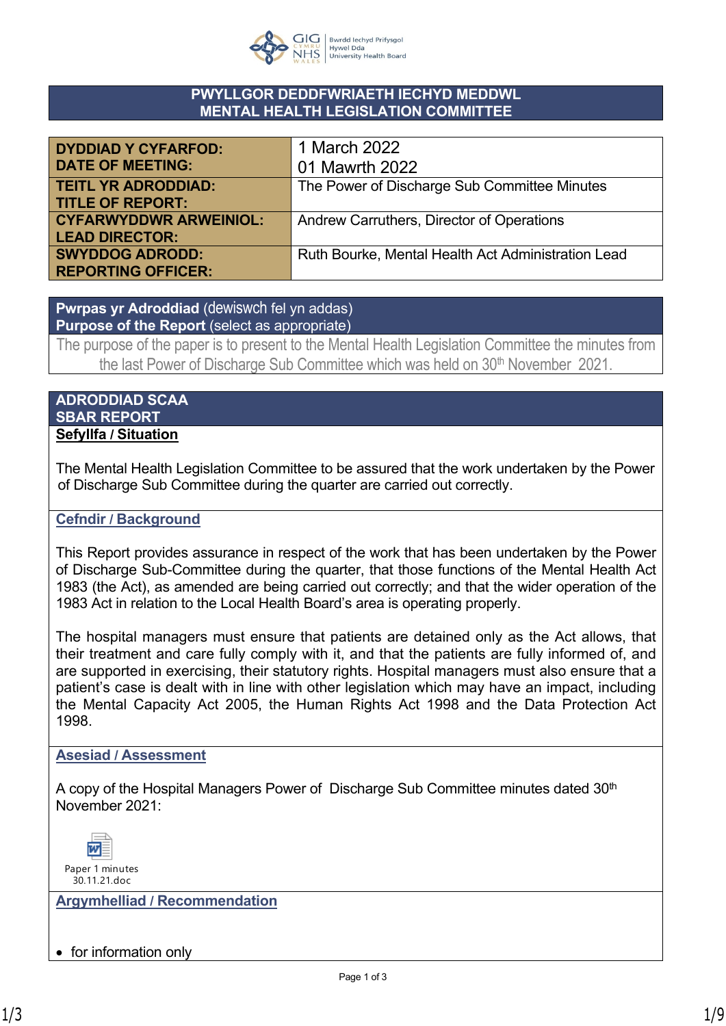

### **PWYLLGOR DEDDFWRIAETH IECHYD MEDDWL MENTAL HEALTH LEGISLATION COMMITTEE**

| <b>DYDDIAD Y CYFARFOD:</b>    | 1 March 2022                                       |
|-------------------------------|----------------------------------------------------|
| <b>DATE OF MEETING:</b>       | 01 Mawrth 2022                                     |
| <b>TEITL YR ADRODDIAD:</b>    | The Power of Discharge Sub Committee Minutes       |
| <b>TITLE OF REPORT:</b>       |                                                    |
| <b>CYFARWYDDWR ARWEINIOL:</b> | Andrew Carruthers, Director of Operations          |
| <b>LEAD DIRECTOR:</b>         |                                                    |
| <b>SWYDDOG ADRODD:</b>        | Ruth Bourke, Mental Health Act Administration Lead |
| <b>REPORTING OFFICER:</b>     |                                                    |

**Pwrpas yr Adroddiad** (dewiswch fel yn addas) **Purpose of the Report** (select as appropriate)

The purpose of the paper is to present to the Mental Health Legislation Committee the minutes from the last Power of Discharge Sub Committee which was held on 30<sup>th</sup> November 2021.

#### **ADRODDIAD SCAA SBAR REPORT Sefyllfa / Situation**

The Mental Health Legislation Committee to be assured that the work undertaken by the Power of Discharge Sub Committee during the quarter are carried out correctly.

### **Cefndir / Background**

This Report provides assurance in respect of the work that has been undertaken by the Power of Discharge Sub-Committee during the quarter, that those functions of the Mental Health Act 1983 (the Act), as amended are being carried out correctly; and that the wider operation of the 1983 Act in relation to the Local Health Board's area is operating properly.

The hospital managers must ensure that patients are detained only as the Act allows, that their treatment and care fully comply with it, and that the patients are fully informed of, and are supported in exercising, their statutory rights. Hospital managers must also ensure that a patient's case is dealt with in line with other legislation which may have an impact, including the Mental Capacity Act 2005, the Human Rights Act 1998 and the Data Protection Act 1998.

#### **Asesiad / Assessment**

A copy of the Hospital Managers Power of Discharge Sub Committee minutes dated 30<sup>th</sup> November 2021:



**Argymhelliad / Recommendation**

• for information only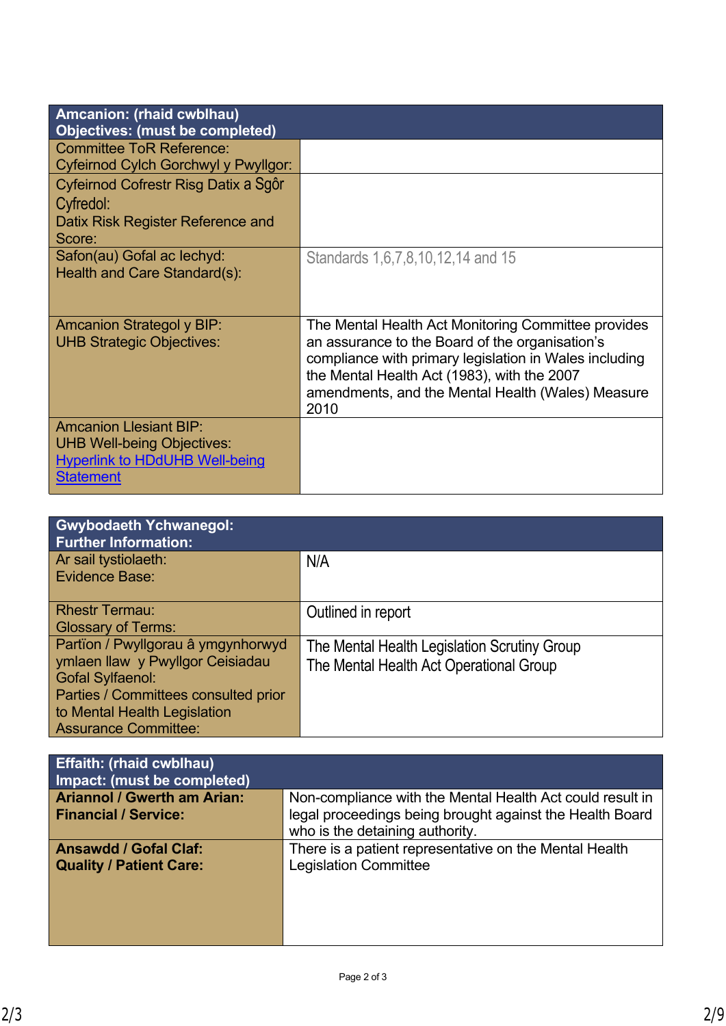| Amcanion: (rhaid cwblhau)<br><b>Objectives: (must be completed)</b>                                                             |                                                                                                                                                                                                                                                                              |
|---------------------------------------------------------------------------------------------------------------------------------|------------------------------------------------------------------------------------------------------------------------------------------------------------------------------------------------------------------------------------------------------------------------------|
| <b>Committee ToR Reference:</b><br>Cyfeirnod Cylch Gorchwyl y Pwyllgor:                                                         |                                                                                                                                                                                                                                                                              |
| Cyfeirnod Cofrestr Risg Datix a Sgôr<br>Cyfredol:<br>Datix Risk Register Reference and<br>Score:                                |                                                                                                                                                                                                                                                                              |
| Safon(au) Gofal ac lechyd:<br>Health and Care Standard(s):                                                                      | Standards 1,6,7,8,10,12,14 and 15                                                                                                                                                                                                                                            |
| Amcanion Strategol y BIP:<br><b>UHB Strategic Objectives:</b>                                                                   | The Mental Health Act Monitoring Committee provides<br>an assurance to the Board of the organisation's<br>compliance with primary legislation in Wales including<br>the Mental Health Act (1983), with the 2007<br>amendments, and the Mental Health (Wales) Measure<br>2010 |
| <b>Amcanion Llesiant BIP:</b><br><b>UHB Well-being Objectives:</b><br><b>Hyperlink to HDdUHB Well-being</b><br><b>Statement</b> |                                                                                                                                                                                                                                                                              |

| <b>Gwybodaeth Ychwanegol:</b><br><b>Further Information:</b> |                                              |
|--------------------------------------------------------------|----------------------------------------------|
| Ar sail tystiolaeth:<br>Evidence Base:                       | N/A                                          |
|                                                              |                                              |
| <b>Rhestr Termau:</b>                                        | Outlined in report                           |
| <b>Glossary of Terms:</b>                                    |                                              |
| Partïon / Pwyllgorau â ymgynhorwyd                           | The Mental Health Legislation Scrutiny Group |
| ymlaen llaw y Pwyllgor Ceisiadau                             | The Mental Health Act Operational Group      |
| <b>Gofal Sylfaenol:</b>                                      |                                              |
| Parties / Committees consulted prior                         |                                              |
| to Mental Health Legislation                                 |                                              |
| <b>Assurance Committee:</b>                                  |                                              |

| <b>Effaith: (rhaid cwblhau)</b><br>Impact: (must be completed)    |                                                                                                                       |
|-------------------------------------------------------------------|-----------------------------------------------------------------------------------------------------------------------|
| <b>Ariannol / Gwerth am Arian:</b><br><b>Financial / Service:</b> | Non-compliance with the Mental Health Act could result in<br>legal proceedings being brought against the Health Board |
|                                                                   | who is the detaining authority.                                                                                       |
| <b>Ansawdd / Gofal Claf:</b><br><b>Quality / Patient Care:</b>    | There is a patient representative on the Mental Health<br><b>Legislation Committee</b>                                |
|                                                                   |                                                                                                                       |
|                                                                   |                                                                                                                       |
|                                                                   |                                                                                                                       |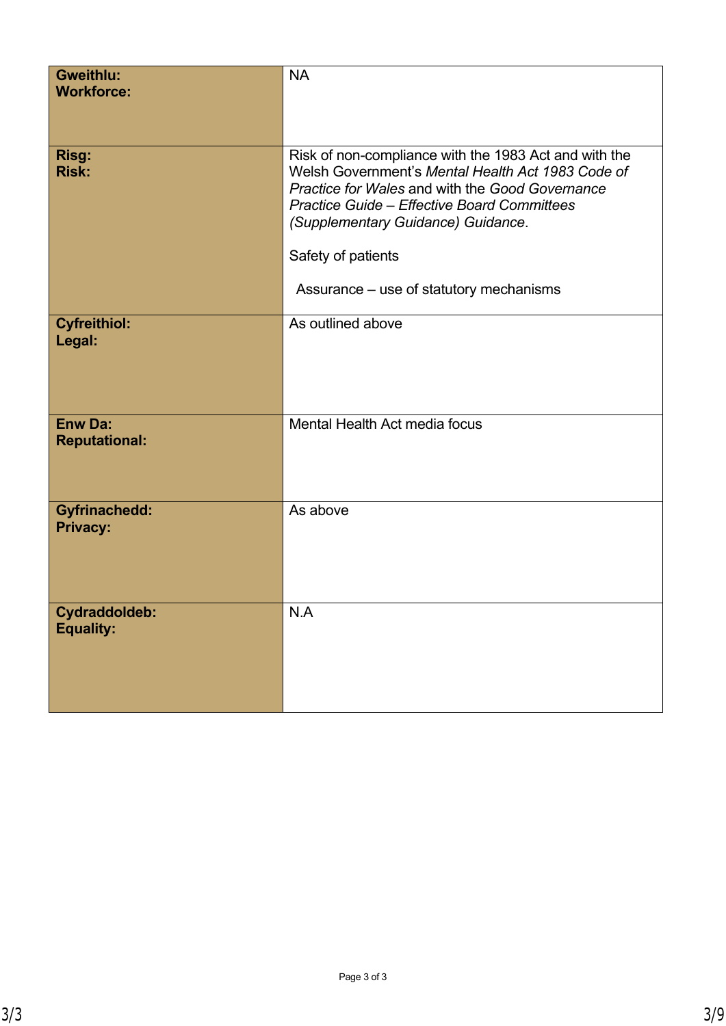| <b>Gweithlu:</b><br><b>Workforce:</b>    | <b>NA</b>                                                                                                                                                                                                                                                                                                                  |
|------------------------------------------|----------------------------------------------------------------------------------------------------------------------------------------------------------------------------------------------------------------------------------------------------------------------------------------------------------------------------|
| <b>Risg:</b><br><b>Risk:</b>             | Risk of non-compliance with the 1983 Act and with the<br>Welsh Government's Mental Health Act 1983 Code of<br>Practice for Wales and with the Good Governance<br><b>Practice Guide - Effective Board Committees</b><br>(Supplementary Guidance) Guidance.<br>Safety of patients<br>Assurance – use of statutory mechanisms |
| <b>Cyfreithiol:</b><br>Legal:            | As outlined above                                                                                                                                                                                                                                                                                                          |
| <b>Enw Da:</b><br><b>Reputational:</b>   | Mental Health Act media focus                                                                                                                                                                                                                                                                                              |
| <b>Gyfrinachedd:</b><br><b>Privacy:</b>  | As above                                                                                                                                                                                                                                                                                                                   |
| <b>Cydraddoldeb:</b><br><b>Equality:</b> | N.A                                                                                                                                                                                                                                                                                                                        |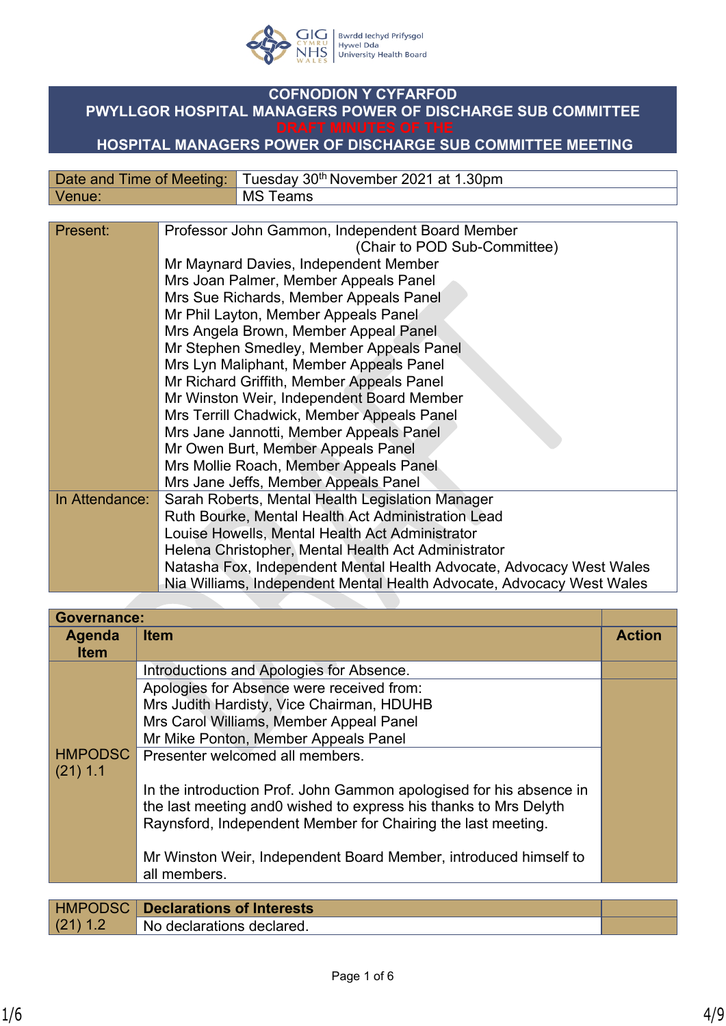

# **COFNODION Y CYFARFOD PWYLLGOR HOSPITAL MANAGERS POWER OF DISCHARGE SUB COMMITTEE**

## **HOSPITAL MANAGERS POWER OF DISCHARGE SUB COMMITTEE MEETING**

|        | Date and Time of Meeting: Tuesday 30 <sup>th</sup> November 2021 at 1.30pm |
|--------|----------------------------------------------------------------------------|
| Venue: | ' MS Teams                                                                 |

| Present:       | Professor John Gammon, Independent Board Member<br>(Chair to POD Sub-Committee) |
|----------------|---------------------------------------------------------------------------------|
|                | Mr Maynard Davies, Independent Member                                           |
|                | Mrs Joan Palmer, Member Appeals Panel                                           |
|                | Mrs Sue Richards, Member Appeals Panel                                          |
|                | Mr Phil Layton, Member Appeals Panel                                            |
|                | Mrs Angela Brown, Member Appeal Panel                                           |
|                |                                                                                 |
|                | Mr Stephen Smedley, Member Appeals Panel                                        |
|                | Mrs Lyn Maliphant, Member Appeals Panel                                         |
|                | Mr Richard Griffith, Member Appeals Panel                                       |
|                | Mr Winston Weir, Independent Board Member                                       |
|                | Mrs Terrill Chadwick, Member Appeals Panel                                      |
|                | Mrs Jane Jannotti, Member Appeals Panel                                         |
|                | Mr Owen Burt, Member Appeals Panel                                              |
|                | Mrs Mollie Roach, Member Appeals Panel                                          |
|                | Mrs Jane Jeffs, Member Appeals Panel                                            |
| In Attendance: | Sarah Roberts, Mental Health Legislation Manager                                |
|                | Ruth Bourke, Mental Health Act Administration Lead                              |
|                | Louise Howells, Mental Health Act Administrator                                 |
|                | Helena Christopher, Mental Health Act Administrator                             |
|                | Natasha Fox, Independent Mental Health Advocate, Advocacy West Wales            |
|                | Nia Williams, Independent Mental Health Advocate, Advocacy West Wales           |
|                |                                                                                 |

| <b>Governance:</b> |                                                                     |               |
|--------------------|---------------------------------------------------------------------|---------------|
| Agenda             | <b>Item</b>                                                         | <b>Action</b> |
| <b>Item</b>        |                                                                     |               |
|                    | Introductions and Apologies for Absence.                            |               |
|                    | Apologies for Absence were received from:                           |               |
|                    | Mrs Judith Hardisty, Vice Chairman, HDUHB                           |               |
|                    | Mrs Carol Williams, Member Appeal Panel                             |               |
|                    | Mr Mike Ponton, Member Appeals Panel                                |               |
| <b>HMPODSC</b>     | Presenter welcomed all members.                                     |               |
| $(21)$ 1.1         |                                                                     |               |
|                    | In the introduction Prof. John Gammon apologised for his absence in |               |
|                    | the last meeting and 0 wished to express his thanks to Mrs Delyth   |               |
|                    | Raynsford, Independent Member for Chairing the last meeting.        |               |
|                    |                                                                     |               |
|                    | Mr Winston Weir, Independent Board Member, introduced himself to    |               |
|                    | all members.                                                        |               |
|                    |                                                                     |               |
| <b>HMPODSC</b>     | <b>Declarations of Interests</b>                                    |               |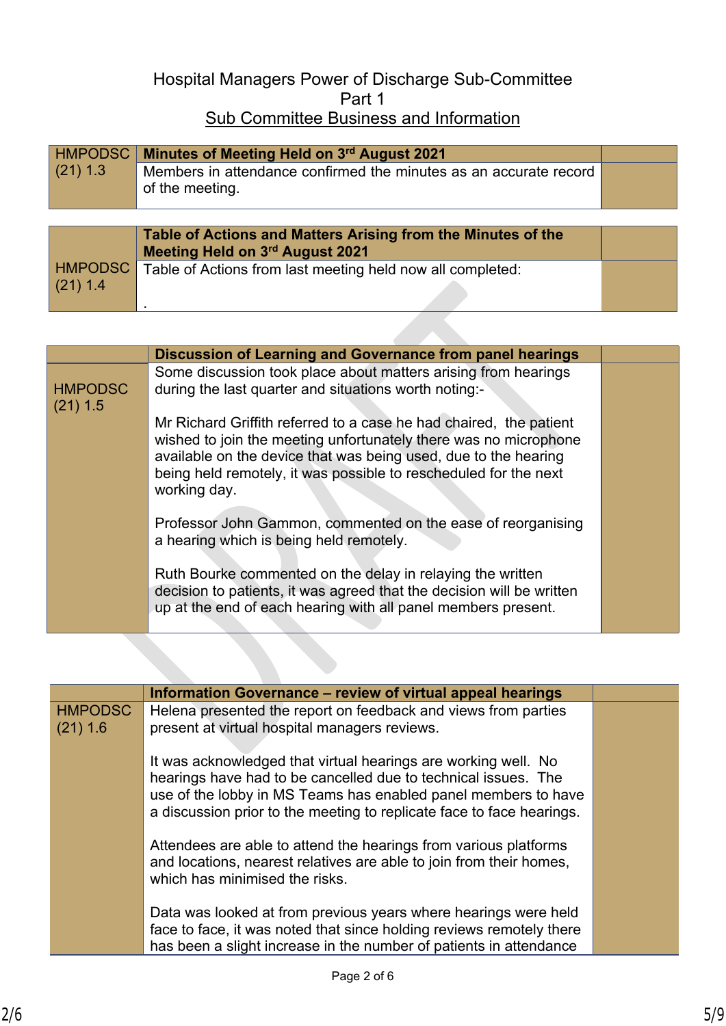# Hospital Managers Power of Discharge Sub-Committee Part 1 Sub Committee Business and Information

|            | HMPODSC   Minutes of Meeting Held on 3rd August 2021                                 |  |
|------------|--------------------------------------------------------------------------------------|--|
| $(21)$ 1.3 | Members in attendance confirmed the minutes as an accurate record<br>of the meeting. |  |

|                | Table of Actions and Matters Arising from the Minutes of the<br>Meeting Held on 3rd August 2021 |  |
|----------------|-------------------------------------------------------------------------------------------------|--|
| <b>HMPODSC</b> | Table of Actions from last meeting held now all completed:                                      |  |
| $(21)$ 1.4     |                                                                                                 |  |

|                              | Discussion of Learning and Governance from panel hearings                                                                                                                                                                                                                                     |  |
|------------------------------|-----------------------------------------------------------------------------------------------------------------------------------------------------------------------------------------------------------------------------------------------------------------------------------------------|--|
| <b>HMPODSC</b><br>$(21)$ 1.5 | Some discussion took place about matters arising from hearings<br>during the last quarter and situations worth noting:-                                                                                                                                                                       |  |
|                              | Mr Richard Griffith referred to a case he had chaired, the patient<br>wished to join the meeting unfortunately there was no microphone<br>available on the device that was being used, due to the hearing<br>being held remotely, it was possible to rescheduled for the next<br>working day. |  |
|                              | Professor John Gammon, commented on the ease of reorganising<br>a hearing which is being held remotely.                                                                                                                                                                                       |  |
|                              | Ruth Bourke commented on the delay in relaying the written<br>decision to patients, it was agreed that the decision will be written<br>up at the end of each hearing with all panel members present.                                                                                          |  |

|                            | Information Governance - review of virtual appeal hearings                                                                                                                                                                                                                  |  |
|----------------------------|-----------------------------------------------------------------------------------------------------------------------------------------------------------------------------------------------------------------------------------------------------------------------------|--|
| <b>HMPODSC</b><br>(21) 1.6 | Helena presented the report on feedback and views from parties<br>present at virtual hospital managers reviews.                                                                                                                                                             |  |
|                            | It was acknowledged that virtual hearings are working well. No<br>hearings have had to be cancelled due to technical issues. The<br>use of the lobby in MS Teams has enabled panel members to have<br>a discussion prior to the meeting to replicate face to face hearings. |  |
|                            | Attendees are able to attend the hearings from various platforms<br>and locations, nearest relatives are able to join from their homes,<br>which has minimised the risks.                                                                                                   |  |
|                            | Data was looked at from previous years where hearings were held<br>face to face, it was noted that since holding reviews remotely there<br>has been a slight increase in the number of patients in attendance                                                               |  |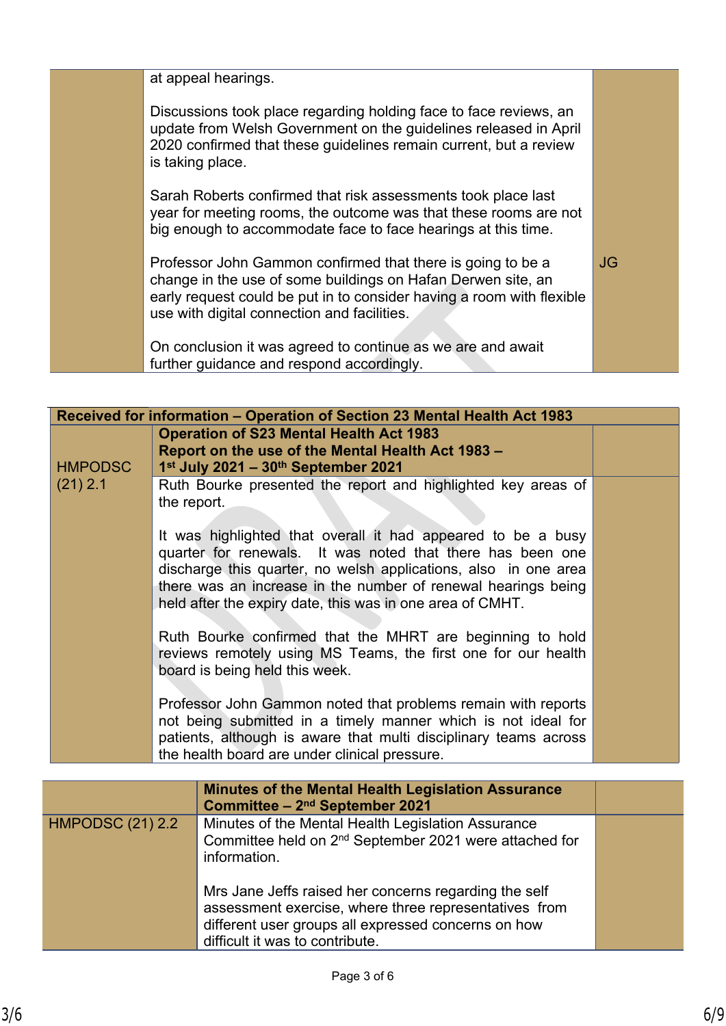| at appeal hearings.                                                                                                                                                                                                                                 |           |
|-----------------------------------------------------------------------------------------------------------------------------------------------------------------------------------------------------------------------------------------------------|-----------|
| Discussions took place regarding holding face to face reviews, an<br>update from Welsh Government on the guidelines released in April<br>2020 confirmed that these guidelines remain current, but a review<br>is taking place.                      |           |
| Sarah Roberts confirmed that risk assessments took place last<br>year for meeting rooms, the outcome was that these rooms are not<br>big enough to accommodate face to face hearings at this time.                                                  |           |
| Professor John Gammon confirmed that there is going to be a<br>change in the use of some buildings on Hafan Derwen site, an<br>early request could be put in to consider having a room with flexible<br>use with digital connection and facilities. | <b>JG</b> |
| On conclusion it was agreed to continue as we are and await<br>further guidance and respond accordingly.                                                                                                                                            |           |

| Received for information - Operation of Section 23 Mental Health Act 1983 |                                                                                                                                                                                                                                                                                                                             |  |
|---------------------------------------------------------------------------|-----------------------------------------------------------------------------------------------------------------------------------------------------------------------------------------------------------------------------------------------------------------------------------------------------------------------------|--|
|                                                                           | <b>Operation of S23 Mental Health Act 1983</b>                                                                                                                                                                                                                                                                              |  |
|                                                                           | Report on the use of the Mental Health Act 1983 -                                                                                                                                                                                                                                                                           |  |
| <b>HMPODSC</b>                                                            | 1st July 2021 - 30th September 2021                                                                                                                                                                                                                                                                                         |  |
| $(21)$ 2.1                                                                | Ruth Bourke presented the report and highlighted key areas of<br>the report.                                                                                                                                                                                                                                                |  |
|                                                                           | It was highlighted that overall it had appeared to be a busy<br>quarter for renewals. It was noted that there has been one<br>discharge this quarter, no welsh applications, also in one area<br>there was an increase in the number of renewal hearings being<br>held after the expiry date, this was in one area of CMHT. |  |
|                                                                           | Ruth Bourke confirmed that the MHRT are beginning to hold<br>reviews remotely using MS Teams, the first one for our health<br>board is being held this week.                                                                                                                                                                |  |
|                                                                           | Professor John Gammon noted that problems remain with reports<br>not being submitted in a timely manner which is not ideal for<br>patients, although is aware that multi disciplinary teams across<br>the health board are under clinical pressure.                                                                         |  |
|                                                                           |                                                                                                                                                                                                                                                                                                                             |  |
|                                                                           | <b>Minutes of the Mental Health Legislation Assurance</b><br>$\sim 1122$ and Contentate 2004                                                                                                                                                                                                                                |  |

|                         | <b>Minutes of the Mental Health Legislation Assurance</b><br>Committee - 2 <sup>nd</sup> September 2021                                                                                                  |  |
|-------------------------|----------------------------------------------------------------------------------------------------------------------------------------------------------------------------------------------------------|--|
| <b>HMPODSC (21) 2.2</b> | Minutes of the Mental Health Legislation Assurance<br>Committee held on 2 <sup>nd</sup> September 2021 were attached for<br>information.                                                                 |  |
|                         | Mrs Jane Jeffs raised her concerns regarding the self<br>assessment exercise, where three representatives from<br>different user groups all expressed concerns on how<br>difficult it was to contribute. |  |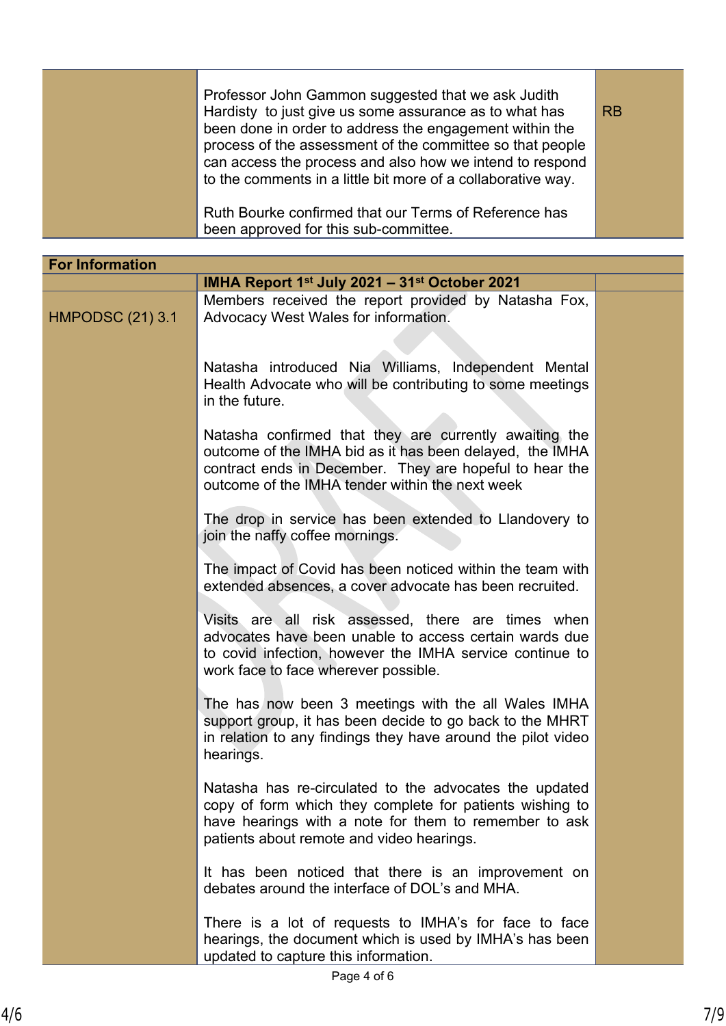| Professor John Gammon suggested that we ask Judith<br>Hardisty to just give us some assurance as to what has<br>been done in order to address the engagement within the<br>process of the assessment of the committee so that people<br>can access the process and also how we intend to respond<br>to the comments in a little bit more of a collaborative way. | <b>RB</b> |
|------------------------------------------------------------------------------------------------------------------------------------------------------------------------------------------------------------------------------------------------------------------------------------------------------------------------------------------------------------------|-----------|
| Ruth Bourke confirmed that our Terms of Reference has<br>been approved for this sub-committee.                                                                                                                                                                                                                                                                   |           |

| <b>For Information</b>  |                                                                                                                                                                                                                                  |  |
|-------------------------|----------------------------------------------------------------------------------------------------------------------------------------------------------------------------------------------------------------------------------|--|
|                         | IMHA Report $1st$ July 2021 – 31 <sup>st</sup> October 2021                                                                                                                                                                      |  |
| <b>HMPODSC (21) 3.1</b> | Members received the report provided by Natasha Fox,<br>Advocacy West Wales for information.                                                                                                                                     |  |
|                         | Natasha introduced Nia Williams, Independent Mental<br>Health Advocate who will be contributing to some meetings<br>in the future.                                                                                               |  |
|                         | Natasha confirmed that they are currently awaiting the<br>outcome of the IMHA bid as it has been delayed, the IMHA<br>contract ends in December. They are hopeful to hear the<br>outcome of the IMHA tender within the next week |  |
|                         | The drop in service has been extended to Llandovery to<br>join the naffy coffee mornings.                                                                                                                                        |  |
|                         | The impact of Covid has been noticed within the team with<br>extended absences, a cover advocate has been recruited.                                                                                                             |  |
|                         | Visits are all risk assessed, there are times when<br>advocates have been unable to access certain wards due<br>to covid infection, however the IMHA service continue to<br>work face to face wherever possible.                 |  |
|                         | The has now been 3 meetings with the all Wales IMHA<br>support group, it has been decide to go back to the MHRT<br>in relation to any findings they have around the pilot video<br>hearings.                                     |  |
|                         | Natasha has re-circulated to the advocates the updated<br>copy of form which they complete for patients wishing to<br>have hearings with a note for them to remember to ask<br>patients about remote and video hearings.         |  |
|                         | It has been noticed that there is an improvement on<br>debates around the interface of DOL's and MHA.                                                                                                                            |  |
|                         | There is a lot of requests to IMHA's for face to face<br>hearings, the document which is used by IMHA's has been<br>updated to capture this information.                                                                         |  |
|                         |                                                                                                                                                                                                                                  |  |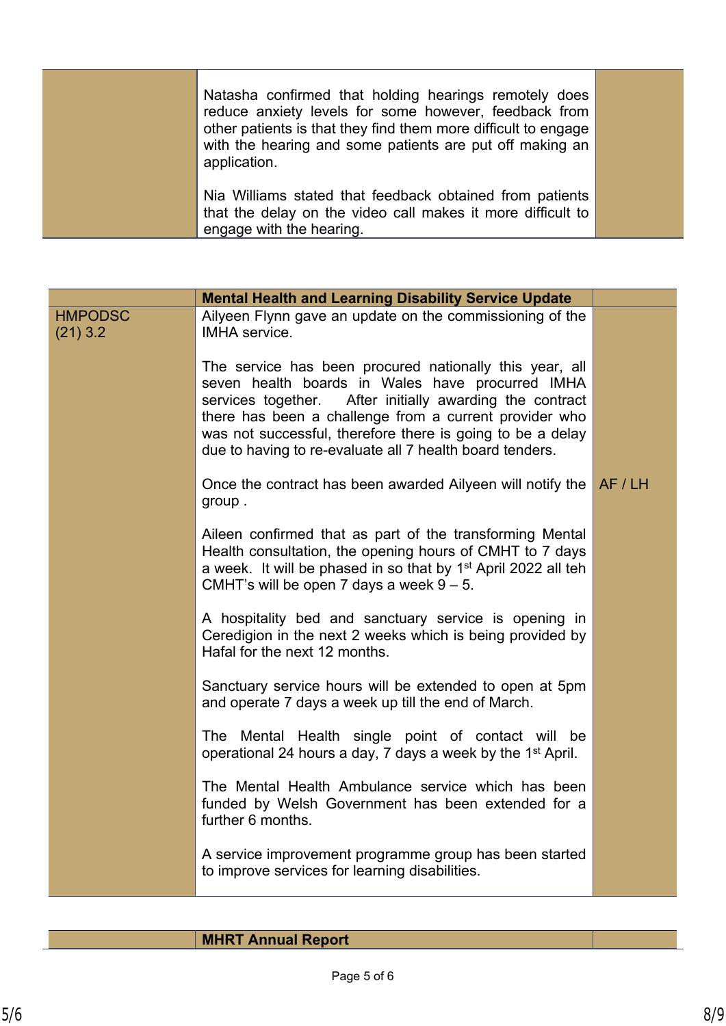| Natasha confirmed that holding hearings remotely does<br>reduce anxiety levels for some however, feedback from<br>other patients is that they find them more difficult to engage<br>with the hearing and some patients are put off making an<br>application. |  |
|--------------------------------------------------------------------------------------------------------------------------------------------------------------------------------------------------------------------------------------------------------------|--|
| Nia Williams stated that feedback obtained from patients<br>that the delay on the video call makes it more difficult to<br>engage with the hearing.                                                                                                          |  |

|                              | <b>Mental Health and Learning Disability Service Update</b>                                                                                                                                                                                                                                                                                                    |         |
|------------------------------|----------------------------------------------------------------------------------------------------------------------------------------------------------------------------------------------------------------------------------------------------------------------------------------------------------------------------------------------------------------|---------|
| <b>HMPODSC</b><br>$(21)$ 3.2 | Ailyeen Flynn gave an update on the commissioning of the<br><b>IMHA</b> service.                                                                                                                                                                                                                                                                               |         |
|                              | The service has been procured nationally this year, all<br>seven health boards in Wales have procurred IMHA<br>After initially awarding the contract<br>services together.<br>there has been a challenge from a current provider who<br>was not successful, therefore there is going to be a delay<br>due to having to re-evaluate all 7 health board tenders. |         |
|                              | Once the contract has been awarded Ailyeen will notify the<br>group.                                                                                                                                                                                                                                                                                           | AF / LH |
|                              | Aileen confirmed that as part of the transforming Mental<br>Health consultation, the opening hours of CMHT to 7 days<br>a week. It will be phased in so that by 1 <sup>st</sup> April 2022 all teh<br>CMHT's will be open 7 days a week $9 - 5$ .                                                                                                              |         |
|                              | A hospitality bed and sanctuary service is opening in<br>Ceredigion in the next 2 weeks which is being provided by<br>Hafal for the next 12 months.                                                                                                                                                                                                            |         |
|                              | Sanctuary service hours will be extended to open at 5pm<br>and operate 7 days a week up till the end of March.                                                                                                                                                                                                                                                 |         |
|                              | The Mental Health single point of contact will be<br>operational 24 hours a day, 7 days a week by the 1 <sup>st</sup> April.                                                                                                                                                                                                                                   |         |
|                              | The Mental Health Ambulance service which has been<br>funded by Welsh Government has been extended for a<br>further 6 months.                                                                                                                                                                                                                                  |         |
|                              | A service improvement programme group has been started<br>to improve services for learning disabilities.                                                                                                                                                                                                                                                       |         |